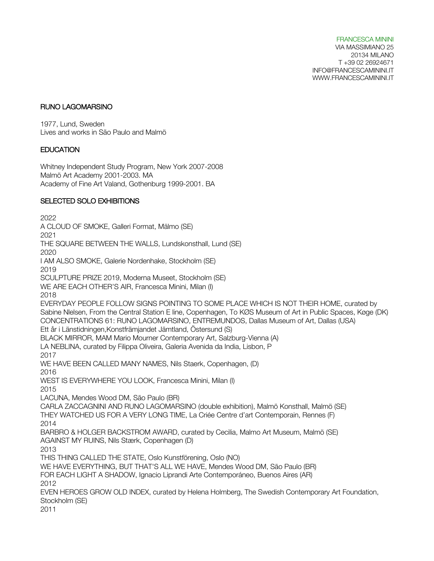FRANCESCA MININI VIA MASSIMIANO 25 20134 MILANO T +39 02 26924671 INFO@FRANCESCAMININI.IT WWW.FRANCESCAMININI.IT

#### RUNO LAGOMARSINO

1977, Lund, Sweden Lives and works in São Paulo and Malmö

### EDUCATION

Whitney Independent Study Program, New York 2007-2008 Malmö Art Academy 2001-2003. MA Academy of Fine Art Valand, Gothenburg 1999-2001. BA

### SELECTED SOLO EXHIBITIONS

2022 A CLOUD OF SMOKE, Galleri Format, Mälmo (SE) 2021 THE SQUARE BETWEEN THE WALLS, Lundskonsthall, Lund (SE) 2020 I AM ALSO SMOKE, Galerie Nordenhake, Stockholm (SE) 2019 SCULPTURE PRIZE 2019, Moderna Museet, Stockholm (SE) WE ARE EACH OTHER'S AIR, Francesca Minini, Milan (I) 2018 EVERYDAY PEOPLE FOLLOW SIGNS POINTING TO SOME PLACE WHICH IS NOT THEIR HOME, curated by Sabine Nlelsen, From the Central Station E line, Copenhagen, To KØS Museum of Art in Public Spaces, Køge (DK) CONCENTRATIONS 61: RUNO LAGOMARSINO, ENTREMUNDOS, Dallas Museum of Art, Dallas (USA) Ett år i Länstidningen,Konstfrämjandet Jämtland, Östersund (S) BLACK MIRROR, MAM Mario Mourner Contemporary Art, Salzburg-Vienna (A) LA NEBLINA, curated by Filippa Oliveira, Galeria Avenida da India, Lisbon, P 2017 WE HAVE BEEN CALLED MANY NAMES, Nils Staerk, Copenhagen, (D) 2016 WEST IS EVERYWHERE YOU LOOK, Francesca Minini, Milan (I) 2015 LACUNA, Mendes Wood DM, São Paulo (BR) CARLA ZACCAGNINI AND RUNO LAGOMARSINO (double exhibition), Malmö Konsthall, Malmö (SE) THEY WATCHED US FOR A VERY LONG TIME, La Criée Centre d'art Contemporain, Rennes (F) 2014 BARBRO & HOLGER BACKSTROM AWARD, curated by Cecilia, Malmo Art Museum, Malmö (SE) AGAINST MY RUINS, Nils Stærk, Copenhagen (D) 2013 THIS THING CALLED THE STATE, Oslo Kunstförening, Oslo (NO) WE HAVE EVERYTHING, BUT THAT'S ALL WE HAVE, Mendes Wood DM, São Paulo (BR) FOR EACH LIGHT A SHADOW, Ignacio Liprandi Arte Contemporáneo, Buenos Aires (AR) 2012 EVEN HEROES GROW OLD INDEX, curated by Helena Holmberg, The Swedish Contemporary Art Foundation, Stockholm (SE) 2011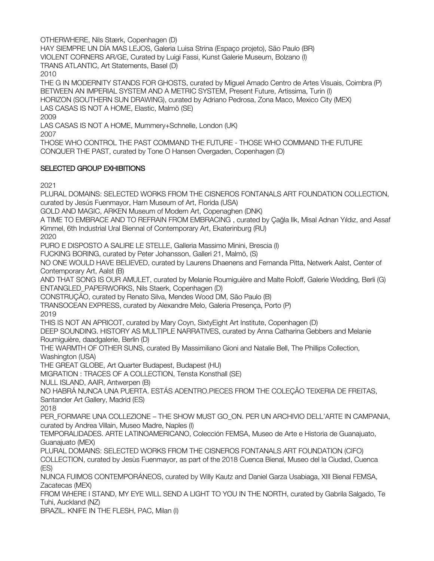OTHERWHERE, Nils Stærk, Copenhagen (D)

HAY SIEMPRE UN DÍA MAS LEJOS, Galeria Luisa Strina (Espaço projeto), São Paulo (BR)

VIOLENT CORNERS AR/GE, Curated by Luigi Fassi, Kunst Galerie Museum, Bolzano (I)

TRANS ATLANTIC, Art Statements, Basel (D)

2010

THE G IN MODERNITY STANDS FOR GHOSTS, curated by Miguel Amado Centro de Artes Visuais, Coimbra (P) BETWEEN AN IMPERIAL SYSTEM AND A METRIC SYSTEM, Present Future, Artissima, Turin (I) HORIZON (SOUTHERN SUN DRAWING), curated by Adriano Pedrosa, Zona Maco, Mexico City (MEX) LAS CASAS IS NOT A HOME, Elastic, Malmö (SE) 2009

LAS CASAS IS NOT A HOME, Mummery+Schnelle, London (UK)

2007

THOSE WHO CONTROL THE PAST COMMAND THE FUTURE - THOSE WHO COMMAND THE FUTURE CONQUER THE PAST, curated by Tone O Hansen Overgaden, Copenhagen (D)

# SELECTED GROUP EXHIBITIONS

2021

PLURAL DOMAINS: SELECTED WORKS FROM THE CISNEROS FONTANALS ART FOUNDATION COLLECTION, curated by Jesús Fuenmayor, Harn Museum of Art, Florida (USA) GOLD AND MAGIC, ARKEN Museum of Modern Art, Copenaghen (DNK) A TIME TO EMBRACE AND TO REFRAIN FROM EMBRACING , curated by Çağla Ilk, Misal Adnan Yıldız, and Assaf Kimmel, 6th Industrial Ural Biennal of Contemporary Art, Ekaterinburg (RU) 2020 PURO E DISPOSTO A SALIRE LE STELLE, Galleria Massimo Minini, Brescia (I) FUCKING BORING, curated by Peter Johansson, Galleri 21, Malmö, (S) NO ONE WOULD HAVE BELIEVED, curated by Laurens Dhaenens and Fernanda Pitta, Netwerk Aalst, Center of Contemporary Art, Aalst (B) AND THAT SONG IS OUR AMULET, curated by Melanie Roumiguière and Malte Roloff, Galerie Wedding, Berli (G) ENTANGLED\_PAPERWORKS, Nils Staerk, Copenhagen (D) CONSTRUÇÃO, curated by Renato Silva, Mendes Wood DM, São Paulo (B) TRANSOCEAN EXPRESS, curated by Alexandre Melo, Galeria Presença, Porto (P) 2019 THIS IS NOT AN APRICOT, curated by Mary Coyn, SixtyEight Art Institute, Copenhagen (D) DEEP SOUNDING. HISTORY AS MULTIPLE NARRATIVES, curated by Anna Catharina Gebbers and Melanie Roumiguière, daadgalerie, Berlin (D) THE WARMTH OF OTHER SUNS, curated By Massimiliano Gioni and Natalie Bell, The Phillips Collection, Washington (USA) THE GREAT GLOBE, Art Quarter Budapest, Budapest (HU) MIGRATION : TRACES OF A COLLECTION, Tensta Konsthall (SE) NULL ISLAND, AAIR, Antwerpen (B) NO HABRÁ NUNCA UNA PUERTA. ESTÁS ADENTRO.PIECES FROM THE COLEÇÅO TEIXERIA DE FREITAS, Santander Art Gallery, Madrid (ES) 2018 PER FORMARE UNA COLLEZIONE – THE SHOW MUST GO ON. PER UN ARCHIVIO DELL'ARTE IN CAMPANIA, curated by Andrea Villain, Museo Madre, Naples (I) TEMPORALIDADES. ARTE LATINOAMERICANO, Colección FEMSA, Museo de Arte e Historia de Guanajuato, Guanajuato (MEX) PLURAL DOMAINS: SELECTED WORKS FROM THE CISNEROS FONTANALS ART FOUNDATION (CIFO) COLLECTION, curated by Jesùs Fuenmayor, as part of the 2018 Cuenca Bienal, Museo del la Ciudad, Cuenca (ES) NUNCA FUIMOS CONTEMPORÁNEOS, curated by Willy Kautz and Daniel Garza Usabiaga, XIII Bienal FEMSA, Zacatecas (MEX) FROM WHERE I STAND, MY EYE WILL SEND A LIGHT TO YOU IN THE NORTH, curated by Gabrila Salgado, Te Tuhi, Auckland (NZ) BRAZIL. KNIFE IN THE FLESH, PAC, Milan (I)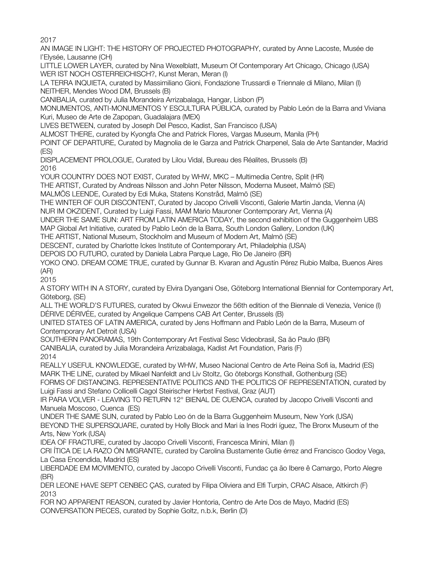2017

AN IMAGE IN LIGHT: THE HISTORY OF PROJECTED PHOTOGRAPHY, curated by Anne Lacoste, Musée de l'Elysée, Lausanne (CH)

LITTLE LOWER LAYER, curated by Nina Wexelblatt, Museum Of Contemporary Art Chicago, Chicago (USA) WER IST NOCH OSTERREICHISCH?, Kunst Meran, Meran (I)

LA TERRA INQUIETA, curated by Massimiliano Gioni, Fondazione Trussardi e Triennale di Milano, Milan (I) NEITHER, Mendes Wood DM, Brussels (B)

CANIBALIA, curated by Julia Morandeira Arrizabalaga, Hangar, Lisbon (P)

MONUMENTOS, ANTI-MONUMENTOS Y ESCULTURA PÚBLICA, curated by Pablo León de la Barra and Viviana Kuri, Museo de Arte de Zapopan, Guadalajara (MEX)

LIVES BETWEEN, curated by Joseph Del Pesco, Kadist, San Francisco (USA)

ALMOST THERE, curated by Kyongfa Che and Patrick Flores, Vargas Museum, Manila (PH)

POINT OF DEPARTURE, Curated by Magnolia de le Garza and Patrick Charpenel, Sala de Arte Santander, Madrid (ES)

DISPLACEMENT PROLOGUE, Curated by Lilou Vidal, Bureau des Réalites, Brussels (B) 2016

YOUR COUNTRY DOES NOT EXIST, Curated by WHW, MKC – Multimedia Centre, Split (HR)

THE ARTIST, Curated by Andreas Nilsson and John Peter Nilsson, Moderna Museet, Malmö (SE)

MALMÖS LEENDE, Curated by Edi Muka, Statens Konstråd, Malmö (SE)

THE WINTER OF OUR DISCONTENT, Curated by Jacopo Crivelli Visconti, Galerie Martin Janda, Vienna (A)

NUR IM OKZIDENT, Curated by Luigi Fassi, MAM Mario Mauroner Contemporary Art, Vienna (A)

UNDER THE SAME SUN: ART FROM LATIN AMERICA TODAY, the second exhibition of the Guggenheim UBS

MAP Global Art Initiative, curated by Pablo León de la Barra, South London Gallery, London (UK)

THE ARTIST, National Museum, Stockholm and Museum of Modern Art, Malmö (SE)

DESCENT, curated by Charlotte Ickes Institute of Contemporary Art, Philadelphia (USA)

DEPOIS DO FUTURO, curated by Daniela Labra Parque Lage, Rio De Janeiro (BR)

YOKO ONO. DREAM COME TRUE, curated by Gunnar B. Kvaran and Agustín Pérez Rubio Malba, Buenos Aires (AR)

2015

A STORY WITH IN A STORY, curated by Elvira Dyangani Ose, Göteborg International Biennial for Contemporary Art, Göteborg, (SE)

ALL THE WORLD'S FUTURES, curated by Okwui Enwezor the 56th edition of the Biennale di Venezia, Venice (I) DÉRIVE DÉRIVÉE, curated by Angelique Campens CAB Art Center, Brussels (B)

UNITED STATES OF LATIN AMERICA, curated by Jens Hoffmann and Pablo León de la Barra, Museum of Contemporary Art Detroit (USA)

SOUTHERN PANORAMAS, 19th Contemporary Art Festival Sesc Videobrasil, Sa ão Paulo (BR)

CANIBALIA, curated by Julia Morandeira Arrizabalaga, Kadist Art Foundation, Paris (F)

2014

REALLY USEFUL KNOWLEDGE, curated by WHW, Museo Nacional Centro de Arte Reina Sofi ía, Madrid (ES) MARK THE LINE, curated by Mikael Nanfeldt and Liv Stoltz, Go öteborgs Konsthall, Gothenburg (SE)

FORMS OF DISTANCING. REPRESENTATIVE POLITICS AND THE POLITICS OF REPRESENTATION, curated by Luigi Fassi and Stefano Collicelli Cagol Steirischer Herbst Festival, Graz (AUT)

IR PARA VOLVER - LEAVING TO RETURN 12° BIENAL DE CUENCA, curated by Jacopo Crivelli Visconti and Manuela Moscoso, Cuenca (ES)

UNDER THE SAME SUN, curated by Pablo Leo ón de la Barra Guggenheim Museum, New York (USA) BEYOND THE SUPERSQUARE, curated by Holly Block and Mari ía Ines Rodri íguez, The Bronx Museum of the Arts, New York (USA)

IDEA OF FRACTURE, curated by Jacopo Crivelli Visconti, Francesca Minini, Milan (I)

CRI ÍTICA DE LA RAZO ÓN MIGRANTE, curated by Carolina Bustamente Gutie érrez and Francisco Godoy Vega, La Casa Encendida, Madrid (ES)

LIBERDADE EM MOVIMENTO, curated by Jacopo Crivelli Visconti, Fundac ça ão Ibere ê Camargo, Porto Alegre (BR)

DER LEONE HAVE SEPT CENBEC ÇAS, curated by Filipa Oliviera and Elfi Turpin, CRAC Alsace, Altkirch (F) 2013

FOR NO APPARENT REASON, curated by Javier Hontoria, Centro de Arte Dos de Mayo, Madrid (ES) CONVERSATION PIECES, curated by Sophie Goltz, n.b.k, Berlin (D)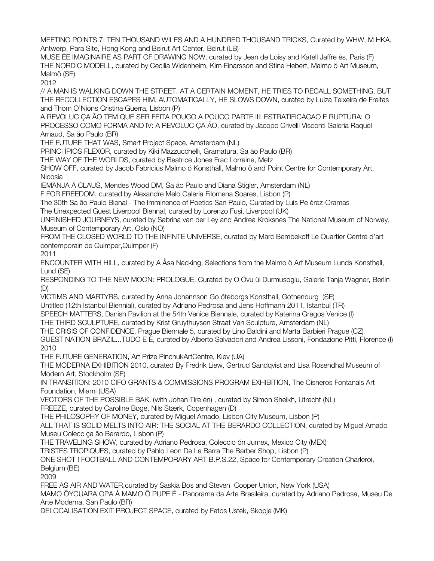MEETING POINTS 7: TEN THOUSAND WILES AND A HUNDRED THOUSAND TRICKS, Curated by WHW, M HKA, Antwerp, Para Site, Hong Kong and Beirut Art Center, Beirut (LB)

MUSE ÉE IMAGINAIRE AS PART OF DRAWING NOW, curated by Jean de Loisy and Katell Jaffre ès, Paris (F) THE NORDIC MODELL, curated by Cecilia Widenheim, Kim Einarsson and Stine Hebert, Malmo ö Art Museum, Malmö (SE)

2012

// A MAN IS WALKING DOWN THE STREET. AT A CERTAIN MOMENT, HE TRIES TO RECALL SOMETHING, BUT THE RECOLLECTION ESCAPES HIM. AUTOMATICALLY, HE SLOWS DOWN, curated by Luiza Teixeira de Freitas and Thom O'Nions Cristina Guerra, Lisbon (P)

A REVOLUC ÇA ÃO TEM QUE SER FEITA POUCO A POUCO PARTE III: ESTRATIFICACAO E RUPTURA: O PROCESSO COMO FORMA AND IV: A REVOLUC ÇA ÃO, curated by Jacopo Crivelli Visconti Galeria Raquel Arnaud, Sa ão Paulo (BR)

THE FUTURE THAT WAS, Smart Project Space, Amsterdam (NL)

PRINCI ÍPIOS FLEXOR, curated by Kiki Mazzucchelli, Gramatura, Sa ão Paulo (BR)

THE WAY OF THE WORLDS, curated by Beatrice Jones Frac Lorraine, Metz

SHOW OFF, curated by Jacob Fabricius Malmo ö Konsthall, Malmo ö and Point Centre for Contemporary Art, Nicosia

IEMANJA Á CLAUS, Mendes Wood DM, Sa ão Paulo and Diana Stigler, Amsterdam (NL)

F FOR FREEDOM, curated by Alexandre Melo Galeria Filomena Soares, Lisbon (P)

The 30th Sa ão Paulo Bienal - The Imminence of Poetics San Paulo, Curated by Luis Pe érez-Oramas

The Unexpected Guest Liverpool Biennal, curated by Lorenzo Fusi, Liverpool (UK)

UNFINISHED JOURNEYS, curated by Sabrina van der Ley and Andrea Kroksnes The National Museum of Norway, Museum of Contemporary Art, Oslo (NO)

FROM THE CLOSED WORLD TO THE INFINTE UNIVERSE, curated by Marc Bembekoff Le Quartier Centre d'art contemporain de Quimper,Quimper (F)

2011

ENCOUNTER WITH HILL, curated by A Åsa Nacking, Selections from the Malmo ö Art Museum Lunds Konsthall, Lund (SE)

RESPONDING TO THE NEW MOON: PROLOGUE, Curated by O Övu ül Durmusoglu, Galerie Tanja Wagner, Berlin (D)

VICTIMS AND MARTYRS, curated by Anna Johannson Go öteborgs Konsthall, Gothenburg (SE) Untitled (12th Istanbul Biennial), curated by Adriano Pedrosa and Jens Hoffmann 2011, Istanbul (TR)

SPEECH MATTERS, Danish Pavilion at the 54th Venice Biennale, curated by Katerina Gregos Venice (I)

THE THIRD SCULPTURE, curated by Krist Gruythuysen Straat Van Sculpture, Amsterdam (NL)

THE CRISIS OF CONFIDENCE, Prague Biennale 5, curated by Lino Baldini and Marta Barbieri Prague (CZ)

GUEST NATION BRAZIL...TUDO E È, curated by Alberto Salvadori and Andrea Lissoni, Fondazione Pitti, Florence (I) 2010

THE FUTURE GENERATION, Art Prize PinchukArtCentre, Kiev (UA)

THE MODERNA EXHIBITION 2010, curated By Fredrik Liew, Gertrud Sandqvist and Lisa Rosendhal Museum of Modern Art, Stockholm (SE)

IN TRANSITION: 2010 CIFO GRANTS & COMMISSIONS PROGRAM EXHIBITION, The Cisneros Fontanals Art Foundation, Miami (USA)

VECTORS OF THE POSSIBLE BAK, (with Johan Tire én) , curated by Simon Sheikh, Utrecht (NL) FREEZE, curated by Caroline Bøge, Nils Stærk, Copenhagen (D)

THE PHILOSOPHY OF MONEY, curated by Miguel Amado, Lisbon City Museum, Lisbon (P)

ALL THAT IS SOLID MELTS INTO AIR: THE SOCIAL AT THE BERARDO COLLECTION, curated by Miguel Amado Museu Colecc ça ão Berardo, Lisbon (P)

THE TRAVELING SHOW, curated by Adriano Pedrosa, Coleccio ón Jumex, Mexico City (MEX)

TRISTES TROPIQUES, curated by Pablo Leon De La Barra The Barber Shop, Lisbon (P)

ONE SHOT ! FOOTBALL AND CONTEMPORARY ART B.P.S.22, Space for Contemporary Creation Charleroi, Belgium (BE)

2009

FREE AS AIR AND WATER,curated by Saskia Bos and Steven Cooper Union, New York (USA)

MAMO ÕYGUARA OPA Á MAMO Õ PUPE É - Panorama da Arte Brasileira, curated by Adriano Pedrosa, Museu De Arte Moderna, San Paulo (BR)

DELOCALISATION EXIT PROJECT SPACE, curated by Fatos Ustek, Skopje (MK)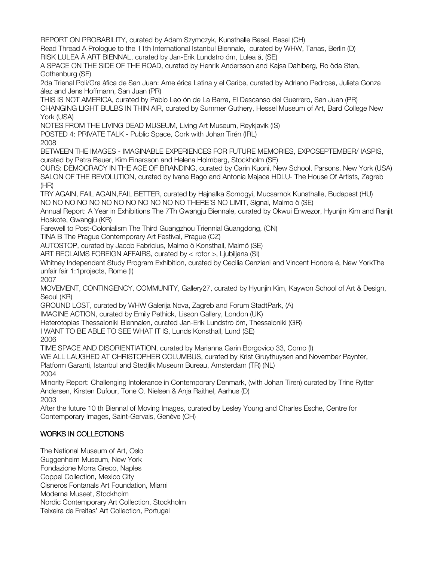REPORT ON PROBABILITY, curated by Adam Szymczyk, Kunsthalle Basel, Basel (CH)

Read Thread A Prologue to the 11th International Istanbul Biennale, curated by WHW, Tanas, Berlin (D) RISK LULEA Å ART BIENNAL, curated by Jan-Erik Lundstro öm, Lulea å, (SE)

A SPACE ON THE SIDE OF THE ROAD, curated by Henrik Andersson and Kajsa Dahlberg, Ro öda Sten, Gothenburg (SE)

2da Trienal Poli/Gra áfica de San Juan: Ame érica Latina y el Caribe, curated by Adriano Pedrosa, Julieta Gonza ález and Jens Hoffmann, San Juan (PR)

THIS IS NOT AMERICA, curated by Pablo Leo ón de La Barra, El Descanso del Guerrero, San Juan (PR) CHANGING LIGHT BULBS IN THIN AIR, curated by Summer Guthery, Hessel Museum of Art, Bard College New York (USA)

NOTES FROM THE LIVING DEAD MUSEUM, Living Art Museum, Reykjavik (IS)

POSTED 4: PRIVATE TALK - Public Space, Cork with Johan Tirén (IRL)

2008

BETWEEN THE IMAGES - IMAGINABLE EXPERIENCES FOR FUTURE MEMORIES, EXPOSEPTEMBER/ IASPIS, curated by Petra Bauer, Kim Einarsson and Helena Holmberg, Stockholm (SE)

OURS: DEMOCRACY IN THE AGE OF BRANDING, curated by Carin Kuoni, New School, Parsons, New York (USA) SALON OF THE REVOLUTION, curated by Ivana Bago and Antonia Majaca HDLU- The House Of Artists, Zagreb (HR)

TRY AGAIN, FAIL AGAIN,FAIL BETTER, curated by Hajnalka Somogyi, Mucsarnok Kunsthalle, Budapest (HU) NO NO NO NO NO NO NO NO NO NO NO NO THERE S NO LIMIT, Signal, Malmo ö (SE) ́

Annual Report: A Year in Exhibitions The 7Th Gwangju Biennale, curated by Okwui Enwezor, Hyunjin Kim and Ranjit Hoskote, Gwangju (KR)

Farewell to Post-Colonialism The Third Guangzhou Triennial Guangdong, (CN)

TINA B The Prague Contemporary Art Festival, Prague (CZ)

AUTOSTOP, curated by Jacob Fabricius, Malmo ö Konsthall, Malmö (SE)

ART RECLAIMS FOREIGN AFFAIRS, curated by < rotor >, Ljubiljana (SI)

Whitney Independent Study Program Exhibition, curated by Cecilia Canziani and Vincent Honore é, New YorkThe unfair fair 1:1projects, Rome (I)

2007

MOVEMENT, CONTINGENCY, COMMUNITY, Gallery27, curated by Hyunjin Kim, Kaywon School of Art & Design, Seoul (KR)

GROUND LOST, curated by WHW Galerija Nova, Zagreb and Forum StadtPark, (A)

IMAGINE ACTION, curated by Emily Pethick, Lisson Gallery, London (UK)

Heterotopias Thessaloniki Biennalen, curated Jan-Erik Lundstro öm, Thessaloniki (GR)

I WANT TO BE ABLE TO SEE WHAT IT IS, Lunds Konsthall, Lund (SE)

2006

TIME SPACE AND DISORIENTIATION, curated by Marianna Garin Borgovico 33, Como (I)

WE ALL LAUGHED AT CHRISTOPHER COLUMBUS, curated by Krist Gruythuysen and November Paynter,

Platform Garanti, Istanbul and Stedjlik Museum Bureau, Amsterdam (TR) (NL) 2004

Minority Report: Challenging Intolerance in Contemporary Denmark, (with Johan Tiren) curated by Trine Rytter Andersen, Kirsten Dufour, Tone O. Nielsen & Anja Raithel, Aarhus (D) 2003

After the future 10 th Biennal of Moving Images, curated by Lesley Young and Charles Esche, Centre for Contemporary Images, Saint-Gervais, Genéve (CH)

## WORKS IN COLLECTIONS

The National Museum of Art, Oslo

Guggenheim Museum, New York

Fondazione Morra Greco, Naples

Coppel Collection, Mexico City

Cisneros Fontanals Art Foundation, Miami

Moderna Museet, Stockholm

Nordic Contemporary Art Collection, Stockholm

Teixeira de Freitas' Art Collection, Portugal